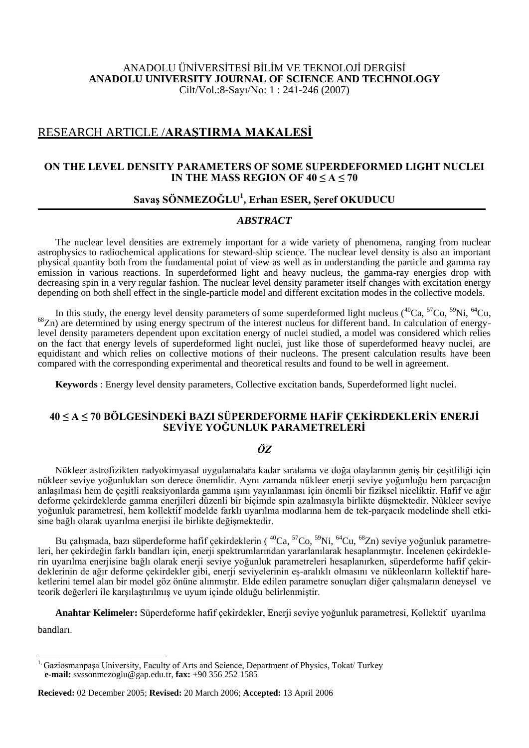## ANADOLU ÜNİVERSİTESİ BİLİM VE TEKNOLOJİ DERGİSİ **ANADOLU UNIVERSITY JOURNAL OF SCIENCE AND TECHNOLOGY** Cilt/Vol.:8-Sayı/No: 1 : 241-246 (2007)

# RESEARCH ARTICLE /**ARAġTIRMA MAKALESĠ**

## **ON THE LEVEL DENSITY PARAMETERS OF SOME SUPERDEFORMED LIGHT NUCLEI IN THE MASS REGION OF**  $40 \leq A \leq 70$

# **SavaĢ SÖNMEZOĞLU<sup>1</sup> , Erhan ESER, ġeref OKUDUCU**

## *ABSTRACT*

The nuclear level densities are extremely important for a wide variety of phenomena, ranging from nuclear astrophysics to radiochemical applications for steward-ship science. The nuclear level density is also an important physical quantity both from the fundamental point of view as well as in understanding the particle and gamma ray emission in various reactions. In superdeformed light and heavy nucleus, the gamma-ray energies drop with decreasing spin in a very regular fashion. The nuclear level density parameter itself changes with excitation energy depending on both shell effect in the single-particle model and different excitation modes in the collective models.

In this study, the energy level density parameters of some superdeformed light nucleus ( ${}^{40}Ca$ ,  ${}^{57}Co$ ,  ${}^{59}Ni$ ,  ${}^{64}Cu$ , <sup>68</sup>Zn) are determined by using energy spectrum of the interest nucleus for different band. In calculation of energylevel density parameters dependent upon excitation energy of nuclei studied, a model was considered which relies on the fact that energy levels of superdeformed light nuclei, just like those of superdeformed heavy nuclei, are equidistant and which relies on collective motions of their nucleons. The present calculation results have been compared with the corresponding experimental and theoretical results and found to be well in agreement.

**Keywords** : Energy level density parameters, Collective excitation bands, Superdeformed light nuclei.

## **40 ≤ A ≤ 70 BÖLGESİNDEKİ BAZI SÜPERDEFORME HAFİF ÇEKİRDEKLERİN ENERJİ SEVİYE YOĞUNLUK PARAMETRELERİ**

## *ÖZ*

Nükleer astrofizikten radyokimyasal uygulamalara kadar sıralama ve doğa olaylarının geniş bir çeşitliliği için nükleer seviye yoğunlukları son derece önemlidir. Aynı zamanda nükleer enerji seviye yoğunluğu hem parçacığın anlaşılması hem de çeşitli reaksiyonlarda gamma ışını yayınlanması için önemli bir fiziksel niceliktir. Hafif ve ağır deforme çekirdeklerde gamma enerjileri düzenli bir biçimde spin azalmasıyla birlikte düşmektedir. Nükleer seviye yoğunluk parametresi, hem kollektif modelde farklı uyarılma modlarına hem de tek-parçacık modelinde shell etkisine bağlı olarak uyarılma enerjisi ile birlikte değişmektedir.

Bu çalışmada, bazı süperdeforme hafif çekirdeklerin ( $^{40}Ca$ ,  $^{57}Co$ ,  $^{59}Ni$ ,  $^{64}Cu$ ,  $^{68}Zn$ ) seviye yoğunluk parametreleri, her çekirdeğin farklı bandları için, enerji spektrumlarından yararlanılarak hesaplanmıştır. İncelenen çekirdeklerin uyarılma enerjisine bağlı olarak enerji seviye yoğunluk parametreleri hesaplanırken, süperdeforme hafif çekirdeklerinin de ağır deforme çekirdekler gibi, enerji seviyelerinin eş-aralıklı olmasını ve nükleonların kollektif hareketlerini temel alan bir model göz önüne alınmıştır. Elde edilen parametre sonuçları diğer çalışmaların deneysel ve teorik değerleri ile karşılaştırılmış ve uyum içinde olduğu belirlenmiştir.

**Anahtar Kelimeler:** Süperdeforme hafif çekirdekler, Enerji seviye yoğunluk parametresi, Kollektif uyarılma bandları.

 $\overline{a}$ <sup>1,</sup> Gaziosmanpaşa University, Faculty of Arts and Science, Department of Physics, Tokat/ Turkey **e-mail:** svssonmezoglu@gap.edu.tr, **fax:** +90 356 252 1585

**Recieved:** 02 December 2005; **Revised:** 20 March 2006; **Accepted:** 13 April 2006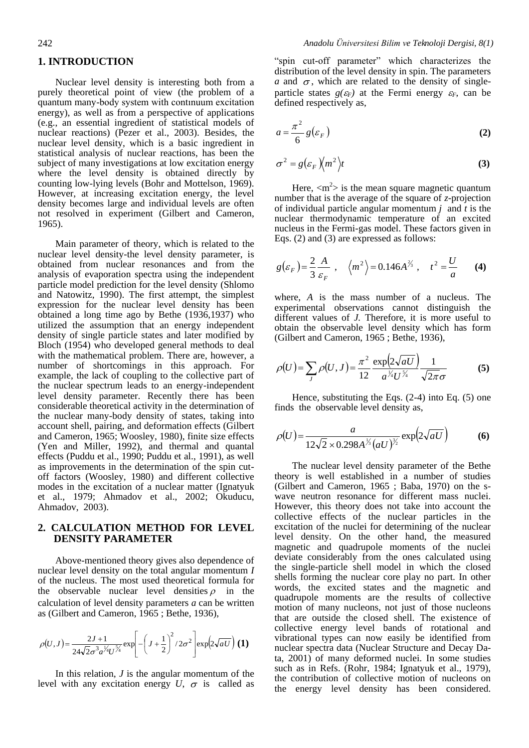#### **1. INTRODUCTION**

Nuclear level density is interesting both from a purely theoretical point of view (the problem of a quantum many-body system with contınuum excitation energy), as well as from a perspective of applications (e.g., an essential ingredient of statistical models of nuclear reactions) (Pezer et al., 2003). Besides, the nuclear level density, which is a basic ingredient in statistical analysis of nuclear reactions, has been the subject of many investigations at low excitation energy where the level density is obtained directly by counting low-lying levels (Bohr and Mottelson, 1969). However, at increasing excitation energy, the level density becomes large and individual levels are often not resolved in experiment (Gilbert and Cameron, 1965).

Main parameter of theory, which is related to the nuclear level density-the level density parameter, is obtained from nuclear resonances and from the analysis of evaporation spectra using the independent particle model prediction for the level density (Shlomo and Natowitz, 1990). The first attempt, the simplest expression for the nuclear level density has been obtained a long time ago by Bethe (1936,1937) who utilized the assumption that an energy independent density of single particle states and later modified by Bloch (1954) who developed general methods to deal with the mathematical problem. There are, however, a number of shortcomings in this approach. For example, the lack of coupling to the collective part of the nuclear spectrum leads to an energy-independent level density parameter. Recently there has been considerable theoretical activity in the determination of the nuclear many-body density of states, taking into account shell, pairing, and deformation effects (Gilbert and Cameron, 1965; Woosley, 1980), finite size effects (Yen and Miller, 1992), and thermal and quantal effects (Puddu et al., 1990; Puddu et al., 1991), as well as improvements in the determination of the spin cutoff factors (Woosley, 1980) and different collective modes in the excitation of a nuclear matter (Ignatyuk et al., 1979; Ahmadov et al., 2002; Okuducu, Ahmadov, 2003).

### **2. CALCULATION METHOD FOR LEVEL DENSITY PARAMETER**

Above-mentioned theory gives also dependence of nuclear level density on the total angular momentum *I* of the nucleus. The most used theoretical formula for the observable nuclear level densities  $\rho$  in the calculation of level density parameters *a* can be written as (Gilbert and Cameron, 1965 ; Bethe, 1936),

$$
\rho(U,J) = \frac{2J+1}{24\sqrt{2}\sigma^3 a^{\frac{1}{4}}U^{\frac{5}{4}}} \exp\left[-\left(J+\frac{1}{2}\right)^2/2\sigma^2\right] \exp\left(2\sqrt{aU}\right)
$$
 (1)

In this relation, *J* is the angular momentum of the level with any excitation energy  $U$ ,  $\sigma$  is called as "spin cut-off parameter" which characterizes the distribution of the level density in spin. The parameters  $a$  and  $\sigma$ , which are related to the density of singleparticle states  $g(\varepsilon_F)$  at the Fermi energy  $\varepsilon_F$ , can be defined respectively as,

$$
a = \frac{\pi^2}{6} g(\varepsilon_F)
$$
 (2)

$$
\sigma^2 = g(\varepsilon_F \,\sqrt{m^2})t \tag{3}
$$

Here,  $\langle m^2 \rangle$  is the mean square magnetic quantum number that is the average of the square of *z*-projection of individual particle angular momentum *j* and *t* is the nuclear thermodynamic temperature of an excited nucleus in the Fermi-gas model. These factors given in Eqs. (2) and (3) are expressed as follows:

$$
g(\varepsilon_F) = \frac{2}{3} \frac{A}{\varepsilon_F} , \quad \left\langle m^2 \right\rangle = 0.146 A^{2/3} , \quad t^2 = \frac{U}{a} \qquad (4)
$$

where, *A* is the mass number of a nucleus. The experimental observations cannot distinguish the different values of *J.* Therefore, it is more useful to obtain the observable level density which has form (Gilbert and Cameron, 1965 ; Bethe, 1936),

$$
\rho(U) = \sum_{J} \rho(U, J) = \frac{\pi^2}{12} \frac{\exp(2\sqrt{aU})}{a^{\frac{1}{4}} U^{\frac{5}{4}}} \frac{1}{\sqrt{2\pi}\sigma}
$$
(5)

Hence, substituting the Eqs. (2-4) into Eq. (5) one finds the observable level density as,

$$
\rho(U) = \frac{a}{12\sqrt{2} \times 0.298A^{\frac{1}{3}} (aU)^{\frac{3}{2}}} \exp(2\sqrt{aU})
$$
 (6)

The nuclear level density parameter of the Bethe theory is well established in a number of studies (Gilbert and Cameron, 1965 ; Baba, 1970) on the swave neutron resonance for different mass nuclei. However, this theory does not take into account the collective effects of the nuclear particles in the excitation of the nuclei for determining of the nuclear level density. On the other hand, the measured magnetic and quadrupole moments of the nuclei deviate considerably from the ones calculated using the single-particle shell model in which the closed shells forming the nuclear core play no part. In other words, the excited states and the magnetic and quadrupole moments are the results of collective motion of many nucleons, not just of those nucleons that are outside the closed shell. The existence of collective energy level bands of rotational and vibrational types can now easily be identified from nuclear spectra data (Nuclear Structure and Decay Data, 2001) of many deformed nuclei. In some studies such as in Refs. (Rohr, 1984; Ignatyuk et al., 1979), the contribution of collective motion of nucleons on the energy level density has been considered.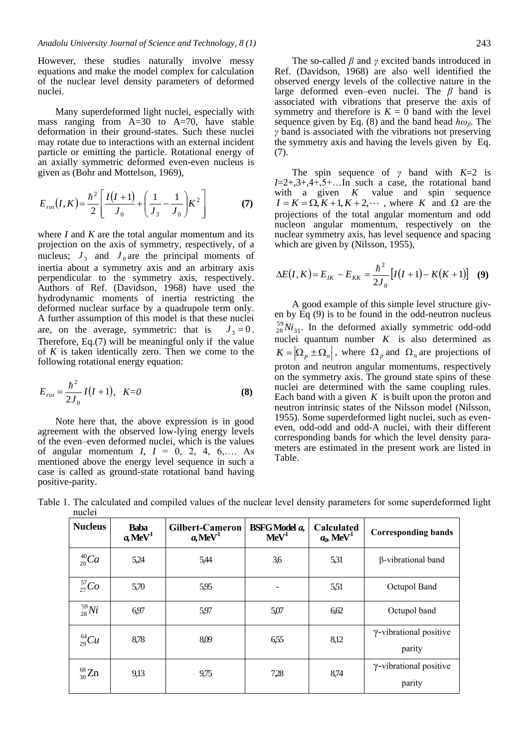However, these studies naturally involve messy equations and make the model complex for calculation of the nuclear level density parameters of deformed nuclei.

Many superdeformed light nuclei, especially with mass ranging from  $A=30$  to  $A=70$ , have stable deformation in their ground-states. Such these nuclei may rotate due to interactions with an external incident particle or emitting the particle. Rotational energy of an axially symmetric deformed even-even nucleus is given as (Bohr and Mottelson, 1969),

$$
E_{rot}(I,K) = \frac{\hbar^2}{2} \left[ \frac{I(I+1)}{J_0} + \left( \frac{1}{J_3} - \frac{1}{J_0} \right) K^2 \right]
$$
 (7)

where *I* and *K* are the total angular momentum and its projection on the axis of symmetry, respectively, of a nucleus;  $J_3$  and  $J_0$  are the principal moments of inertia about a symmetry axis and an arbitrary axis perpendicular to the symmetry axis, respectively. Authors of Ref. (Davidson, 1968) have used the hydrodynamic moments of inertia restricting the deformed nuclear surface by a quadrupole term only. A further assumption of this model is that these nuclei are, on the average, symmetric: that is  $J_3 = 0$ . Therefore, Eq.(7) will be meaningful only if the value of *K* is taken identically zero. Then we come to the following rotational energy equation:

$$
E_{rot} = \frac{\hbar^2}{2J_0} I(I+1), \quad K=0
$$
 (8)

Note here that, the above expression is in good agreement with the observed low-lying energy levels of the even–even deformed nuclei, which is the values of angular momentum  $I, I = 0, 2, 4, 6,...$  As mentioned above the energy level sequence in such a case is called as ground-state rotational band having positive-parity.

The so-called *β* and *γ* excited bands introduced in Ref. (Davidson, 1968) are also well identified the observed energy levels of the collective nature in the large deformed even–even nuclei. The *β* band is associated with vibrations that preserve the axis of symmetry and therefore is  $K = 0$  band with the level sequence given by Eq. (8) and the band head *hωβ*. The *γ* band is associated with the vibrations not preserving the symmetry axis and having the levels given by Eq. (7).

The spin sequence of *γ* band with *K*=2 is  $I=2+3+3+4+5+...$  In such a case, the rotational band with a given  $K$  value and spin sequence  $I = K = \Omega, K + 1, K + 2, \cdots$ , where *K* and  $\Omega$  are the projections of the total angular momentum and odd nucleon angular momentum, respectively on the nuclear symmetry axis, has level sequence and spacing which are given by (Nilsson, 1955),

$$
\Delta E(I, K) = E_{IK} - E_{KK} = \frac{\hbar^2}{2J_0} \left[ I(I+1) - K(K+1) \right] \quad (9)
$$

A good example of this simple level structure given by Eq (9) is to be found in the odd-neutron nucleus  $^{59}_{28}Ni_{31}$ . In the deformed axially symmetric odd-odd nuclei quantum number  $K$  is also determined as  $K = |\Omega_p \pm \Omega_n|$ , where  $\Omega_p$  and  $\Omega_n$  are projections of proton and neutron angular momentums, respectively on the symmetry axis. The ground state spins of these nuclei are determined with the same coupling rules. Each band with a given  $K$  is built upon the proton and neutron intrinsic states of the Nilsson model (Nilsson, 1955). Some superdeformed light nuclei, such as eveneven, odd-odd and odd-A nuclei, with their different corresponding bands for which the level density parameters are estimated in the present work are listed in Table.

| <b>Nucleus</b> | <b>Baba</b><br>$a, \text{MeV}^1$ | <b>Gilbert-Cameron</b><br>$a, \text{MeV}^1$ | <b>BSFG</b> Model a,<br>MeV <sup>1</sup> | Calculated<br>$a_0$ , MeV <sup>1</sup> | <b>Corresponding bands</b>               |
|----------------|----------------------------------|---------------------------------------------|------------------------------------------|----------------------------------------|------------------------------------------|
| $^{40}_{20}Ca$ | 5,24                             | 5,44                                        | 3,6                                      | 5,31                                   | β-vibrational band                       |
| $^{57}_{27}Co$ | 5,70                             | 5,95                                        | $\qquad \qquad \blacksquare$             | 5,51                                   | Octupol Band                             |
| $^{59}_{28}Ni$ | 6,97                             | 5,97                                        | 5,07                                     | 6,62                                   | Octupol band                             |
| $^{64}_{29}Cu$ | 8,78                             | 8,09                                        | 6,55                                     | 8,12                                   | $\gamma$ -vibrational positive<br>parity |
| $^{68}_{30}Zn$ | 9,13                             | 9,75                                        | 7,28                                     | 8,74                                   | $\gamma$ -vibrational positive<br>parity |

Table 1. The calculated and compiled values of the nuclear level density parameters for some superdeformed light nuclei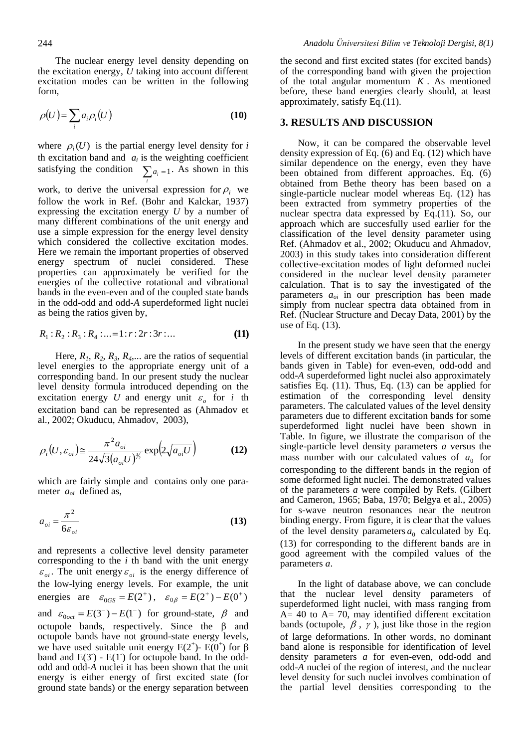The nuclear energy level density depending on the excitation energy, *U* taking into account different excitation modes can be written in the following form,

$$
\rho(U) = \sum_{i} a_i \rho_i(U) \tag{10}
$$

where  $\rho_i(U)$  is the partial energy level density for *i* th excitation band and  $a_i$  is the weighting coefficient satisfying the condition  $\sum_{i} a_i = 1$ . As shown in this

work, to derive the universal expression for  $\rho_i$  we follow the work in Ref. (Bohr and Kalckar, 1937) expressing the excitation energy *U* by a number of many different combinations of the unit energy and use a simple expression for the energy level density which considered the collective excitation modes. Here we remain the important properties of observed energy spectrum of nuclei considered. These properties can approximately be verified for the energies of the collective rotational and vibrational bands in the even-even and of the coupled state bands in the odd-odd and odd-*A* superdeformed light nuclei as being the ratios given by,

$$
R_1: R_2: R_3: R_4: \dots = 1: r: 2r: 3r: \dots
$$
 (11)

Here,  $R_1$ ,  $R_2$ ,  $R_3$ ,  $R_4$ ,... are the ratios of sequential level energies to the appropriate energy unit of a corresponding band. In our present study the nuclear level density formula introduced depending on the excitation energy U and energy unit  $\varepsilon_o$  for i the excitation band can be represented as (Ahmadov et al., 2002; Okuducu, Ahmadov, 2003),

$$
\rho_i(U, \varepsilon_{oi}) \approx \frac{\pi^2 a_{oi}}{24\sqrt{3} (a_{oi}U)^{\frac{3}{2}}} \exp\left(2\sqrt{a_{oi}U}\right)
$$
(12)

which are fairly simple and contains only one parameter *aoi* defined as,

$$
a_{oi} = \frac{\pi^2}{6\varepsilon_{oi}}\tag{13}
$$

and represents a collective level density parameter corresponding to the *i* th band with the unit energy  $\varepsilon_{oi}$ . The unit energy  $\varepsilon_{oi}$  is the energy difference of the low-lying energy levels. For example, the unit energies are  $\varepsilon_{0GS} = E(2^+)$ ,  $\varepsilon_{0\beta} = E(2^+) - E(0^+)$ and  $\varepsilon_{0,00c} = E(3^-) - E(1^-)$  for ground-state,  $\beta$  and octupole bands, respectively. Since the  $\beta$  and octupole bands have not ground-state energy levels, we have used suitable unit energy  $E(2^+)$ -  $E(0^+)$  for  $\beta$ band and  $E(3)$  -  $E(1)$  for octupole band. In the oddodd and odd-*A* nuclei it has been shown that the unit energy is either energy of first excited state (for ground state bands) or the energy separation between

the second and first excited states (for excited bands) of the corresponding band with given the projection of the total angular momentum  $K$ . As mentioned before, these band energies clearly should, at least approximately, satisfy Eq.(11).

#### **3. RESULTS AND DISCUSSION**

Now, it can be compared the observable level density expression of Eq. (6) and Eq. (12) which have similar dependence on the energy, even they have been obtained from different approaches. Eq. (6) obtained from Bethe theory has been based on a single-particle nuclear model whereas Eq. (12) has been extracted from symmetry properties of the nuclear spectra data expressed by Eq.(11). So, our approach which are succesfully used earlier for the classification of the level density parameter using Ref. (Ahmadov et al., 2002; Okuducu and Ahmadov, 2003) in this study takes into consideration different collective-excitation modes of light deformed nuclei considered in the nuclear level density parameter calculation. That is to say the investigated of the parameters *aoi* in our prescription has been made simply from nuclear spectra data obtained from in Ref. (Nuclear Structure and Decay Data, 2001) by the use of Eq. (13).

In the present study we have seen that the energy levels of different excitation bands (in particular, the bands given in Table) for even-even, odd-odd and odd-*A* superdeformed light nuclei also approximately satisfies Eq. (11). Thus, Eq. (13) can be applied for estimation of the corresponding level density parameters. The calculated values of the level density parameters due to different excitation bands for some superdeformed light nuclei have been shown in Table. In figure, we illustrate the comparison of the single-particle level density parameters *a* versus the mass number with our calculated values of  $a_0$  for corresponding to the different bands in the region of some deformed light nuclei. The demonstrated values of the parameters *a* were compiled by Refs. (Gilbert and Cameron, 1965; Baba, 1970; Belgya et al., 2005) for s-wave neutron resonances near the neutron binding energy. From figure, it is clear that the values of the level density parameters  $a_0$  calculated by Eq. (13) for corresponding to the different bands are in good agreement with the compiled values of the parameters *a*.

In the light of database above, we can conclude that the nuclear level density parameters of superdeformed light nuclei, with mass ranging from  $A= 40$  to  $A= 70$ , may identified different excitation bands (octupole,  $\beta$ ,  $\gamma$ ), just like those in the region of large deformations. In other words, no dominant band alone is responsible for identification of level density parameters *a* for even-even, odd-odd and odd-*A* nuclei of the region of interest, and the nuclear level density for such nuclei involves combination of the partial level densities corresponding to the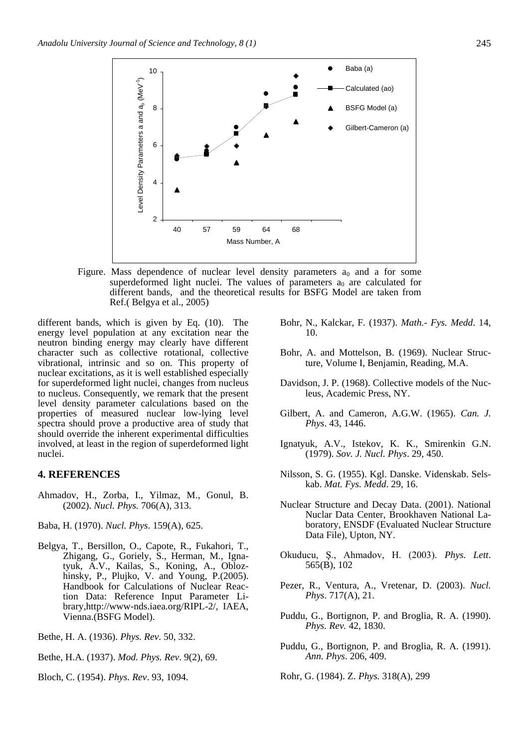

Figure. Mass dependence of nuclear level density parameters  $a_0$  and a for some superdeformed light nuclei. The values of parameters  $a_0$  are calculated for different bands, and the theoretical results for BSFG Model are taken from Ref.( Belgya et al., 2005)

different bands, which is given by Eq. (10). The energy level population at any excitation near the neutron binding energy may clearly have different character such as collective rotational, collective vibrational, intrinsic and so on. This property of nuclear excitations, as it is well established especially for superdeformed light nuclei, changes from nucleus to nucleus. Consequently, we remark that the present level density parameter calculations based on the properties of measured nuclear low-lying level spectra should prove a productive area of study that should override the inherent experimental difficulties involved, at least in the region of superdeformed light nuclei.

### **4. REFERENCES**

Ahmadov, H., Zorba, I., Yilmaz, M., Gonul, B. (2002). *Nucl. Phys.* 706(A), 313.

Baba, H. (1970). *Nucl. Phys.* 159(A), 625.

- Belgya, T., Bersillon, O., Capote, R., Fukahori, T., Zhigang, G., Goriely, S., Herman, M., Ignatyuk, A.V., Kailas, S., Koning, A., Oblozhinsky, P., Plujko, V. and Young, P.(2005). Handbook for Calculations of Nuclear Reaction Data: Reference Input Parameter Library,http://www-nds.iaea.org/RIPL-2/, IAEA, Vienna.(BSFG Model).
- Bethe, H. A. (1936). *Phys. Rev*. 50, 332.
- Bethe, H.A. (1937). *Mod. Phys. Rev*. 9(2), 69.
- Bloch, C. (1954). *Phys. Rev*. 93, 1094.
- Bohr, N., Kalckar, F. (1937). *Math.- Fys. Medd*. 14, 10.
- Bohr, A. and Mottelson, B. (1969). Nuclear Structure, Volume I, Benjamin, Reading, M.A.
- Davidson, J. P. (1968). Collective models of the Nucleus, Academic Press, NY.
- Gilbert, A. and Cameron, A.G.W. (1965). *Can. J. Phys*. 43, 1446.
- Ignatyuk, A.V., Istekov, K. K., Smirenkin G.N. (1979). *Sov. J. Nucl. Phys*. 29, 450.
- Nilsson, S. G. (1955). Kgl. Danske. Videnskab. Selskab. *Mat. Fys. Medd*. 29, 16.
- Nuclear Structure and Decay Data. (2001). National Nuclar Data Center, Brookhaven National Laboratory, ENSDF (Evaluated Nuclear Structure Data File), Upton, NY.
- Okuducu, Ş., Ahmadov, H. (2003). *Phys. Lett*. 565(B), 102
- Pezer, R., Ventura, A., Vretenar, D. (2003). *Nucl. Phys*. 717(A), 21.
- Puddu, G., Bortignon, P. and Broglia, R. A. (1990). *Phys. Rev.* 42, 1830.
- Puddu, G., Bortignon, P. and Broglia, R. A. (1991). *Ann. Phys*. 206, 409.
- Rohr, G. (1984). Z. *Phys.* 318(A), 299